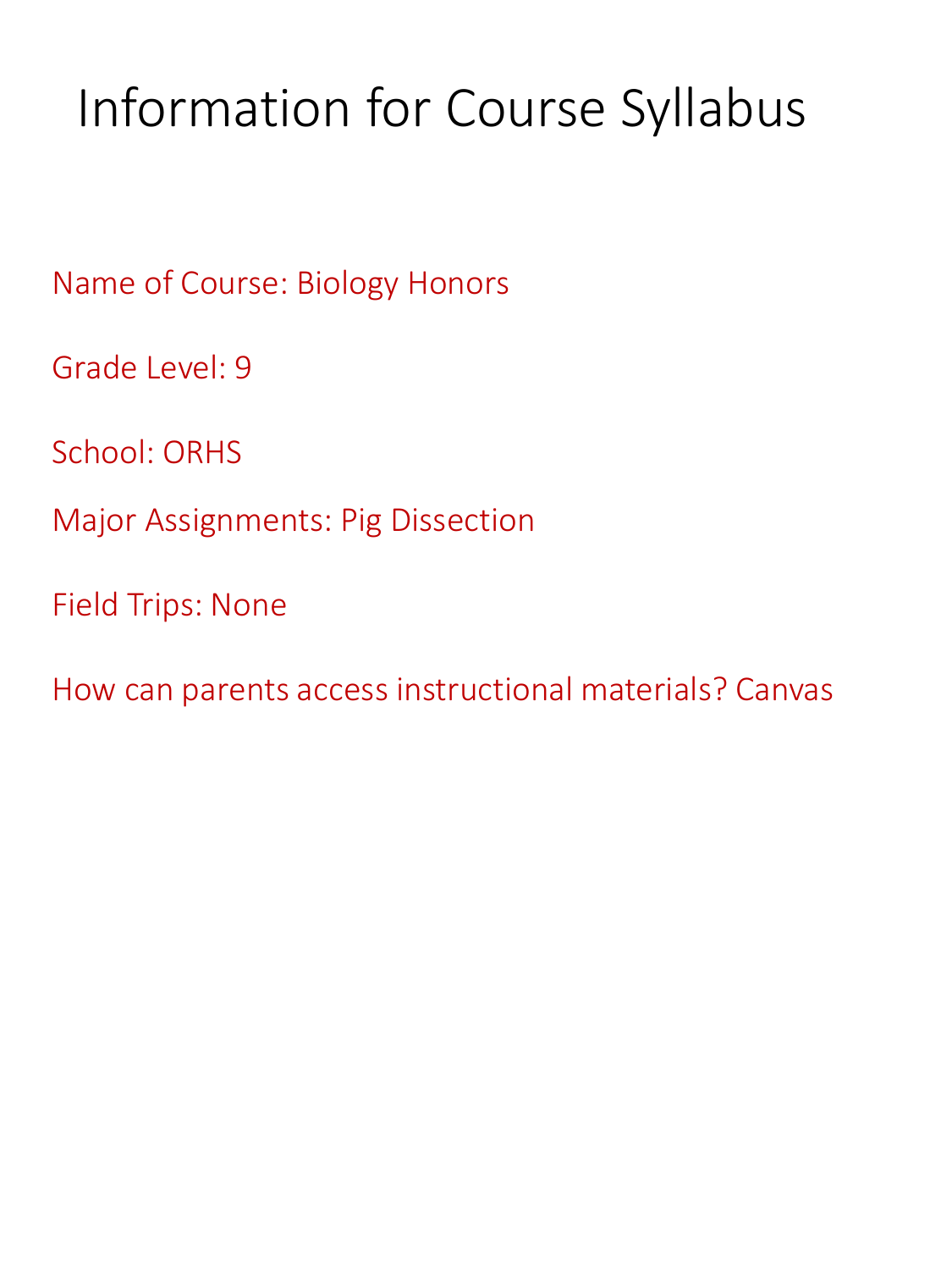# Information for Course Syllabus

Name of Course: Biology Honors

Grade Level: 9

School: ORHS

Major Assignments: Pig Dissection

Field Trips: None

How can parents access instructional materials? Canvas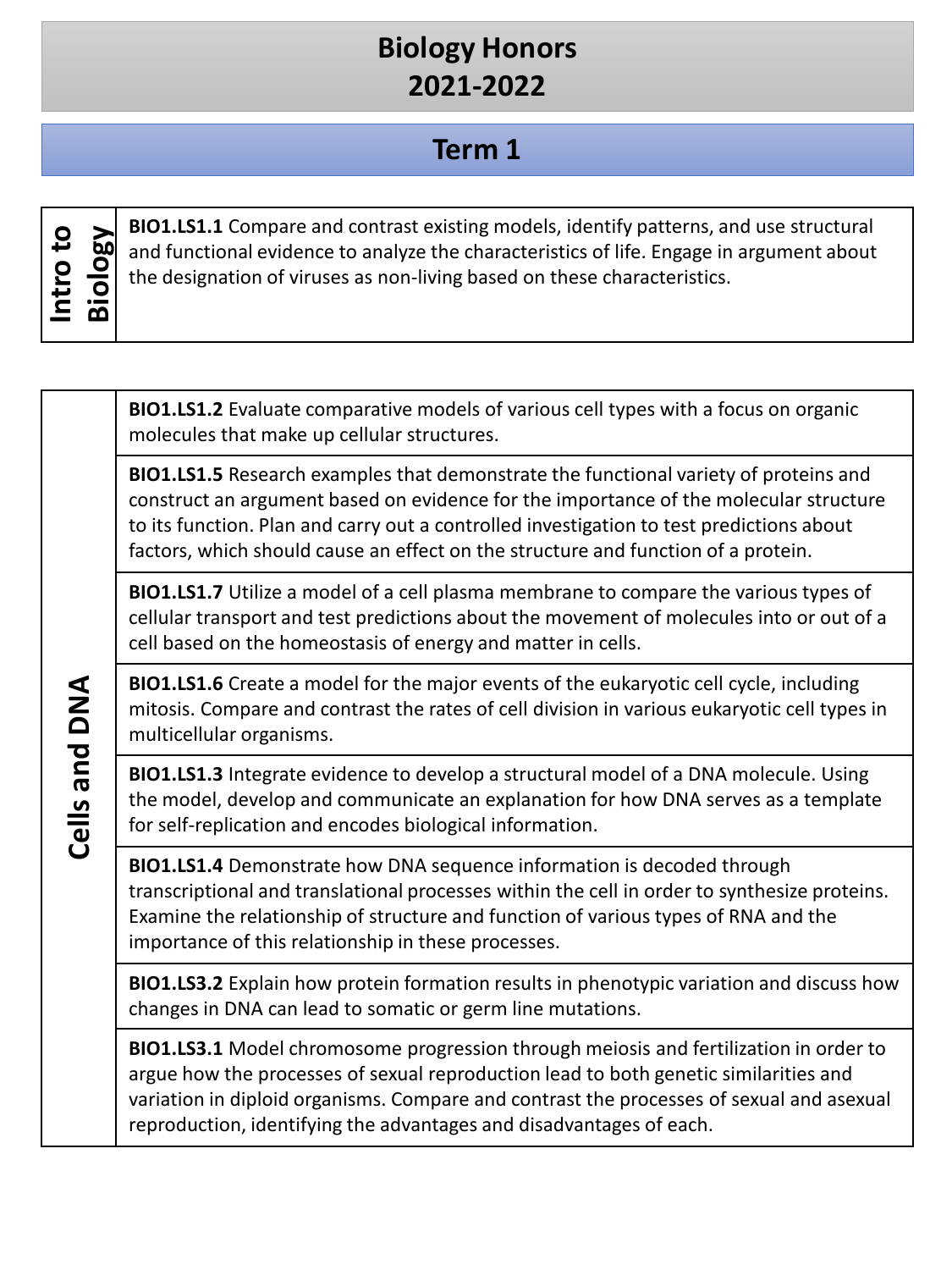## **Biology Honors 2021-2022**

### **Term 1**

| О<br>ى | 60 |
|--------|----|
| О      | O  |
| پ      | О  |
| г      | മ  |

**BIO1.LS1.1** Compare and contrast existing models, identify patterns, and use structural<br>and functional evidence to analyze the characteristics of life. Engage in argument about<br>the designation of viruses as non-living bas and functional evidence to analyze the characteristics of life. Engage in argument about the designation of viruses as non-living based on these characteristics.

**BIO1.LS1.2** Evaluate comparative models of various cell types with a focus on organic molecules that make up cellular structures.

**BIO1.LS1.5** Research examples that demonstrate the functional variety of proteins and construct an argument based on evidence for the importance of the molecular structure to its function. Plan and carry out a controlled investigation to test predictions about factors, which should cause an effect on the structure and function of a protein.

**BIO1.LS1.7** Utilize a model of a cell plasma membrane to compare the various types of cellular transport and test predictions about the movement of molecules into or out of a cell based on the homeostasis of energy and matter in cells.

**BIO1.LS1.6** Create a model for the major events of the eukaryotic cell cycle, including mitosis. Compare and contrast the rates of cell division in various eukaryotic cell types in multicellular organisms.

**BIO1.LS1.3** Integrate evidence to develop a structural model of a DNA molecule. Using the model, develop and communicate an explanation for how DNA serves as a template for self-replication and encodes biological information.

**BIO1.LS1.4** Demonstrate how DNA sequence information is decoded through transcriptional and translational processes within the cell in order to synthesize proteins. Examine the relationship of structure and function of various types of RNA and the importance of this relationship in these processes.

**BIO1.LS3.2** Explain how protein formation results in phenotypic variation and discuss how changes in DNA can lead to somatic or germ line mutations.

**BIO1.LS3.1** Model chromosome progression through meiosis and fertilization in order to argue how the processes of sexual reproduction lead to both genetic similarities and variation in diploid organisms. Compare and contrast the processes of sexual and asexual reproduction, identifying the advantages and disadvantages of each.

Cells and DNA **Cells and DNA**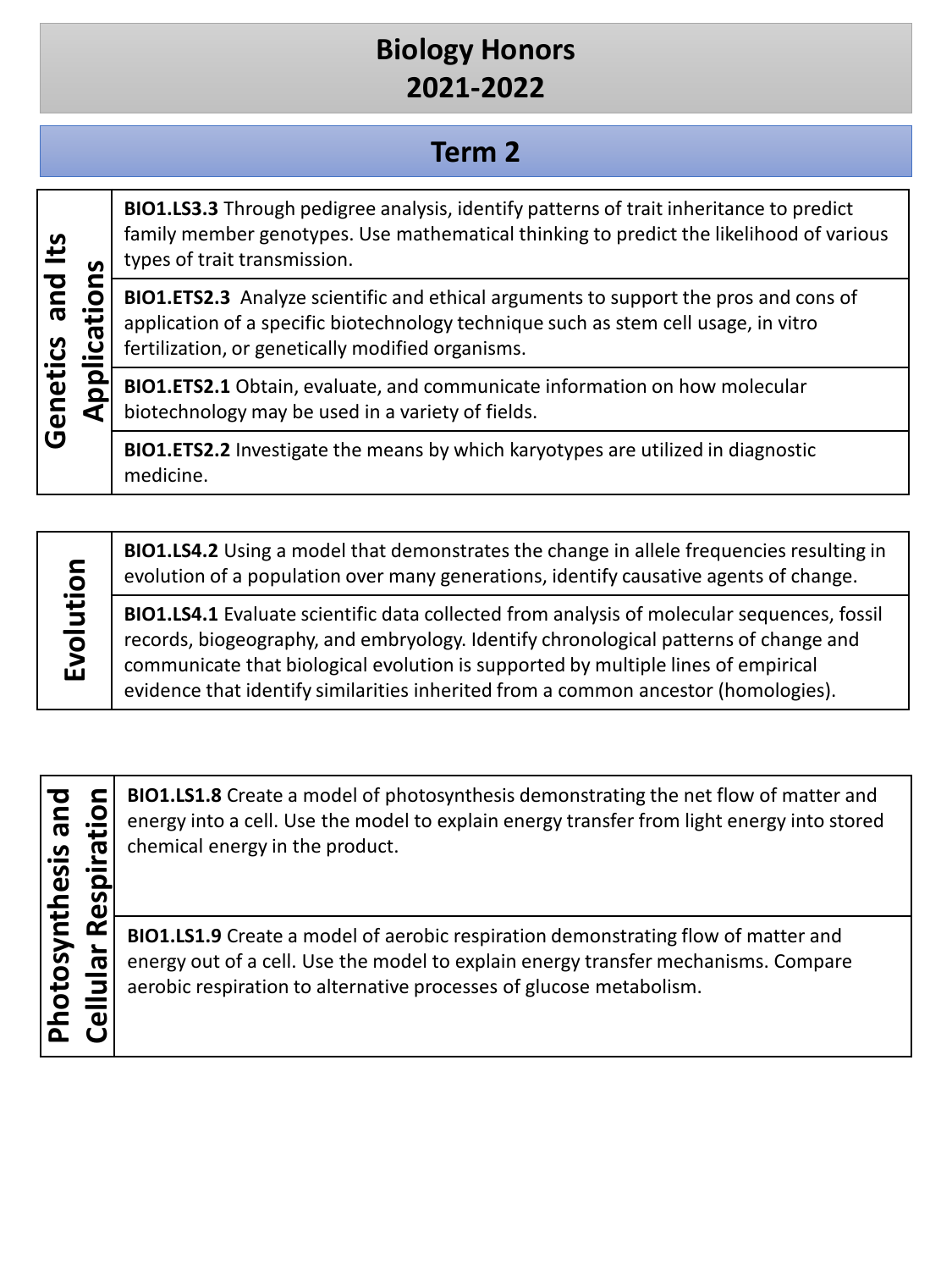# **Biology Honors 2021-2022**

### **Term 2**

#### **BIO1.LS3.3** Through pedigree analysis, identify patterns of trait inheritance to predict family member genotypes. Use mathematical thinking to predict the likelihood of various **Genetics and Its**  Genetics and Its types of trait transmission. Applications **Applications BIO1.ETS2.3** Analyze scientific and ethical arguments to support the pros and cons of application of a specific biotechnology technique such as stem cell usage, in vitro fertilization, or genetically modified organisms. **BIO1.ETS2.1** Obtain, evaluate, and communicate information on how molecular biotechnology may be used in a variety of fields. **BIO1.ETS2.2** Investigate the means by which karyotypes are utilized in diagnostic medicine.

Evolution **Evolution**

**BIO1.LS4.2** Using a model that demonstrates the change in allele frequencies resulting in evolution of a population over many generations, identify causative agents of change.

**BIO1.LS4.1** Evaluate scientific data collected from analysis of molecular sequences, fossil records, biogeography, and embryology. Identify chronological patterns of change and communicate that biological evolution is supported by multiple lines of empirical evidence that identify similarities inherited from a common ancestor (homologies).

**Photosynthesis and**  Photosynthesis and

**CELLULAR CERV** ENDINIEST A Create a model of photosynthesis demonstrating the net flow of matter and<br>energy into a cell. Use the model to explain energy transfer from light energy into stored<br>chemical energy in the produc energy into a cell. Use the model to explain energy transfer from light energy into stored chemical energy in the product.

**BIO1.LS1.9** Create a model of aerobic respiration demonstrating flow of matter and energy out of a cell. Use the model to explain energy transfer mechanisms. Compare aerobic respiration to alternative processes of glucose metabolism.